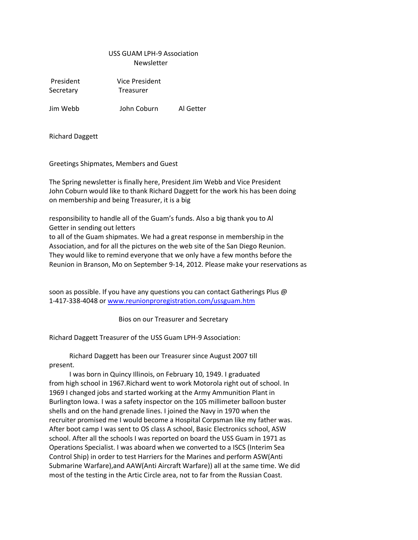# USS GUAM LPH-9 Association Newsletter

Secretary Treasurer

President Vice President

Jim Webb John Coburn Al Getter

Richard Daggett

Greetings Shipmates, Members and Guest

The Spring newsletter is finally here, President Jim Webb and Vice President John Coburn would like to thank Richard Daggett for the work his has been doing on membership and being Treasurer, it is a big

responsibility to handle all of the Guam's funds. Also a big thank you to Al Getter in sending out letters

to all of the Guam shipmates. We had a great response in membership in the Association, and for all the pictures on the web site of the San Diego Reunion. They would like to remind everyone that we only have a few months before the Reunion in Branson, Mo on September 9-14, 2012. Please make your reservations as

soon as possible. If you have any questions you can contact Gatherings Plus @ 1-417-338-4048 or [www.reunionproregistration.com/ussguam.htm](http://www.reunionproregistration.com/ussguam.htm)

Bios on our Treasurer and Secretary

Richard Daggett Treasurer of the USS Guam LPH-9 Association:

 Richard Daggett has been our Treasurer since August 2007 till present.

 I was born in Quincy Illinois, on February 10, 1949. I graduated from high school in 1967.Richard went to work Motorola right out of school. In 1969 I changed jobs and started working at the Army Ammunition Plant in Burlington Iowa. I was a safety inspector on the 105 millimeter balloon buster shells and on the hand grenade lines. I joined the Navy in 1970 when the recruiter promised me I would become a Hospital Corpsman like my father was. After boot camp I was sent to OS class A school, Basic Electronics school, ASW school. After all the schools I was reported on board the USS Guam in 1971 as Operations Specialist. I was aboard when we converted to a ISCS (Interim Sea Control Ship) in order to test Harriers for the Marines and perform ASW(Anti Submarine Warfare),and AAW(Anti Aircraft Warfare)) all at the same time. We did most of the testing in the Artic Circle area, not to far from the Russian Coast.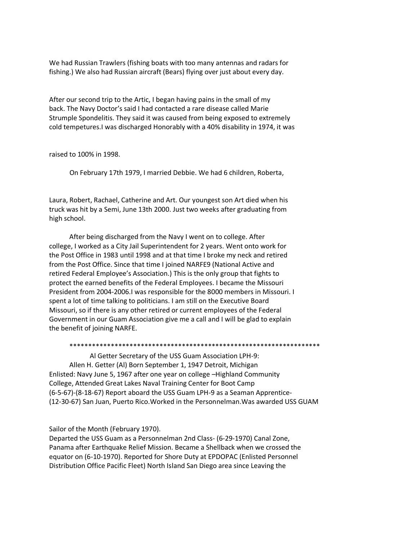We had Russian Trawlers (fishing boats with too many antennas and radars for fishing.) We also had Russian aircraft (Bears) flying over just about every day.

After our second trip to the Artic, I began having pains in the small of my back. The Navy Doctor's said I had contacted a rare disease called Marie Strumple Spondelitis. They said it was caused from being exposed to extremely cold tempetures.I was discharged Honorably with a 40% disability in 1974, it was

raised to 100% in 1998.

On February 17th 1979, I married Debbie. We had 6 children, Roberta,

Laura, Robert, Rachael, Catherine and Art. Our youngest son Art died when his truck was hit by a Semi, June 13th 2000. Just two weeks after graduating from high school.

 After being discharged from the Navy I went on to college. After college, I worked as a City Jail Superintendent for 2 years. Went onto work for the Post Office in 1983 until 1998 and at that time I broke my neck and retired from the Post Office. Since that time I joined NARFE9 (National Active and retired Federal Employee's Association.) This is the only group that fights to protect the earned benefits of the Federal Employees. I became the Missouri President from 2004-2006.I was responsible for the 8000 members in Missouri. I spent a lot of time talking to politicians. I am still on the Executive Board Missouri, so if there is any other retired or current employees of the Federal Government in our Guam Association give me a call and I will be glad to explain the benefit of joining NARFE.

#### \*\*\*\*\*\*\*\*\*\*\*\*\*\*\*\*\*\*\*\*\*\*\*\*\*\*\*\*\*\*\*\*\*\*\*\*\*\*\*\*\*\*\*\*\*\*\*\*\*\*\*\*\*\*\*\*\*\*\*\*\*\*\*\*\*\*\*

 Al Getter Secretary of the USS Guam Association LPH-9: Allen H. Getter (Al) Born September 1, 1947 Detroit, Michigan Enlisted: Navy June 5, 1967 after one year on college –Highland Community College, Attended Great Lakes Naval Training Center for Boot Camp (6-5-67)-(8-18-67) Report aboard the USS Guam LPH-9 as a Seaman Apprentice- (12-30-67) San Juan, Puerto Rico.Worked in the Personnelman.Was awarded USS GUAM

Sailor of the Month (February 1970).

Departed the USS Guam as a Personnelman 2nd Class- (6-29-1970) Canal Zone, Panama after Earthquake Relief Mission. Became a Shellback when we crossed the equator on (6-10-1970). Reported for Shore Duty at EPDOPAC (Enlisted Personnel Distribution Office Pacific Fleet) North Island San Diego area since Leaving the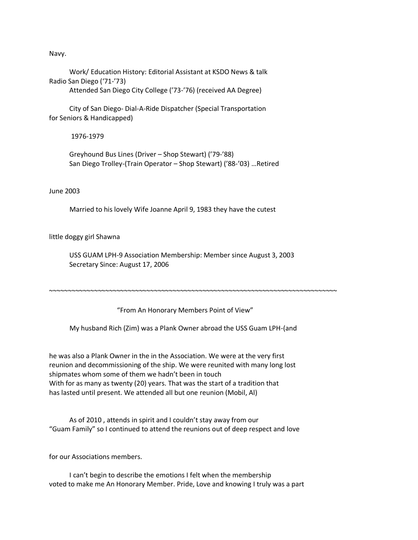Navy.

 Work/ Education History: Editorial Assistant at KSDO News & talk Radio San Diego ('71-'73) Attended San Diego City College ('73-'76) (received AA Degree)

 City of San Diego- Dial-A-Ride Dispatcher (Special Transportation for Seniors & Handicapped)

1976-1979

 Greyhound Bus Lines (Driver – Shop Stewart) ('79-'88) San Diego Trolley-(Train Operator – Shop Stewart) ('88-'03) …Retired

June 2003

Married to his lovely Wife Joanne April 9, 1983 they have the cutest

little doggy girl Shawna

 USS GUAM LPH-9 Association Membership: Member since August 3, 2003 Secretary Since: August 17, 2006

"From An Honorary Members Point of View"

~~~~~~~~~~~~~~~~~~~~~~~~~~~~~~~~~~~~~~~~~~~~~~~~~~~~~~~~~~~~~~~~~~~~~~~~~~~~~

My husband Rich (Zim) was a Plank Owner abroad the USS Guam LPH-(and

he was also a Plank Owner in the in the Association. We were at the very first reunion and decommissioning of the ship. We were reunited with many long lost shipmates whom some of them we hadn't been in touch With for as many as twenty (20) years. That was the start of a tradition that has lasted until present. We attended all but one reunion (Mobil, Al)

 As of 2010 , attends in spirit and I couldn't stay away from our "Guam Family" so I continued to attend the reunions out of deep respect and love

for our Associations members.

 I can't begin to describe the emotions I felt when the membership voted to make me An Honorary Member. Pride, Love and knowing I truly was a part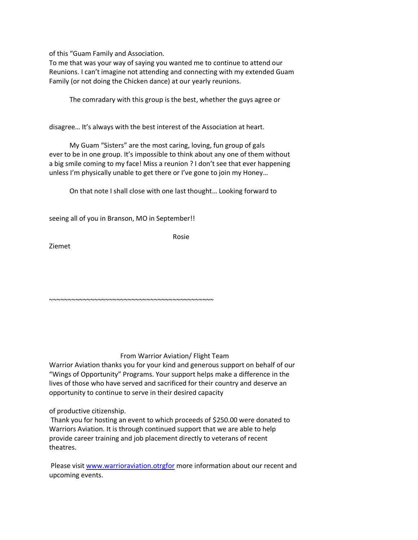of this "Guam Family and Association.

To me that was your way of saying you wanted me to continue to attend our Reunions. I can't imagine not attending and connecting with my extended Guam Family (or not doing the Chicken dance) at our yearly reunions.

The comradary with this group is the best, whether the guys agree or

disagree… It's always with the best interest of the Association at heart.

 My Guam "Sisters" are the most caring, loving, fun group of gals ever to be in one group. It's impossible to think about any one of them without a big smile coming to my face! Miss a reunion ? I don't see that ever happening unless I'm physically unable to get there or I've gone to join my Honey…

On that note I shall close with one last thought… Looking forward to

seeing all of you in Branson, MO in September!!

~~~~~~~~~~~~~~~~~~~~~~~~~~~~~~~~~~~~~~~~~~~~

Rosie

Ziemet

## From Warrior Aviation/ Flight Team

Warrior Aviation thanks you for your kind and generous support on behalf of our "Wings of Opportunity" Programs. Your support helps make a difference in the lives of those who have served and sacrificed for their country and deserve an opportunity to continue to serve in their desired capacity

of productive citizenship.

Thank you for hosting an event to which proceeds of \$250.00 were donated to Warriors Aviation. It is through continued support that we are able to help provide career training and job placement directly to veterans of recent theatres.

Please visit [www.warrioraviation.otrgfor](http://www.warrioraviation.otrgfor/) more information about our recent and upcoming events.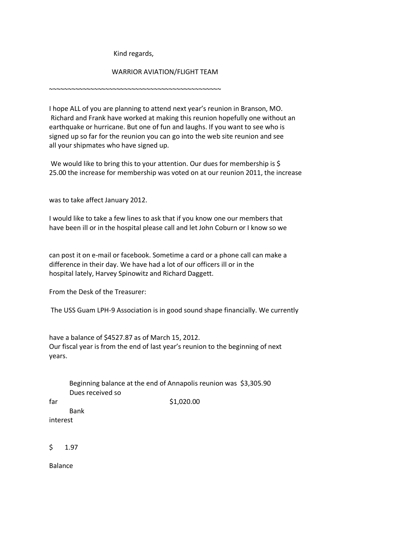Kind regards,

## WARRIOR AVIATION/FLIGHT TEAM

~~~~~~~~~~~~~~~~~~~~~~~~~~~~~~~~~~~~~~~~~~~~~~

I hope ALL of you are planning to attend next year's reunion in Branson, MO. Richard and Frank have worked at making this reunion hopefully one without an earthquake or hurricane. But one of fun and laughs. If you want to see who is signed up so far for the reunion you can go into the web site reunion and see all your shipmates who have signed up.

We would like to bring this to your attention. Our dues for membership is \$ 25.00 the increase for membership was voted on at our reunion 2011, the increase

was to take affect January 2012.

I would like to take a few lines to ask that if you know one our members that have been ill or in the hospital please call and let John Coburn or I know so we

can post it on e-mail or facebook. Sometime a card or a phone call can make a difference in their day. We have had a lot of our officers ill or in the hospital lately, Harvey Spinowitz and Richard Daggett.

From the Desk of the Treasurer:

The USS Guam LPH-9 Association is in good sound shape financially. We currently

have a balance of \$4527.87 as of March 15, 2012. Our fiscal year is from the end of last year's reunion to the beginning of next years.

|     | Dues received so | Beginning balance at the end of Annapolis reunion was \$3,305.90 |
|-----|------------------|------------------------------------------------------------------|
| far |                  | \$1,020.00                                                       |
|     | Bank             |                                                                  |
|     | interest         |                                                                  |
|     |                  |                                                                  |
| \$  | 1.97             |                                                                  |

Balance